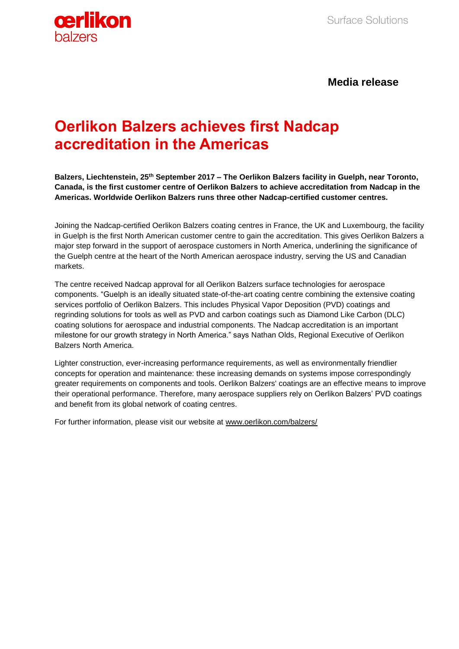

**Media release**

## **Oerlikon Balzers achieves first Nadcap accreditation in the Americas**

**Balzers, Liechtenstein, 25th September 2017 – The Oerlikon Balzers facility in Guelph, near Toronto, Canada, is the first customer centre of Oerlikon Balzers to achieve accreditation from Nadcap in the Americas. Worldwide Oerlikon Balzers runs three other Nadcap-certified customer centres.** 

Joining the Nadcap-certified Oerlikon Balzers coating centres in France, the UK and Luxembourg, the facility in Guelph is the first North American customer centre to gain the accreditation. This gives Oerlikon Balzers a major step forward in the support of aerospace customers in North America, underlining the significance of the Guelph centre at the heart of the North American aerospace industry, serving the US and Canadian markets.

The centre received Nadcap approval for all Oerlikon Balzers surface technologies for aerospace components. "Guelph is an ideally situated state-of-the-art coating centre combining the extensive coating services portfolio of Oerlikon Balzers. This includes Physical Vapor Deposition (PVD) coatings and regrinding solutions for tools as well as PVD and carbon coatings such as Diamond Like Carbon (DLC) coating solutions for aerospace and industrial components. The Nadcap accreditation is an important milestone for our growth strategy in North America." says Nathan Olds, Regional Executive of Oerlikon Balzers North America.

Lighter construction, ever-increasing performance requirements, as well as environmentally friendlier concepts for operation and maintenance: these increasing demands on systems impose correspondingly greater requirements on components and tools. Oerlikon Balzers' coatings are an effective means to improve their operational performance. Therefore, many aerospace suppliers rely on Oerlikon Balzers' PVD coatings and benefit from its global network of coating centres.

For further information, please visit our website at [www.oerlikon.com/balzers/](http://www.oerlikon.com/balzers/)